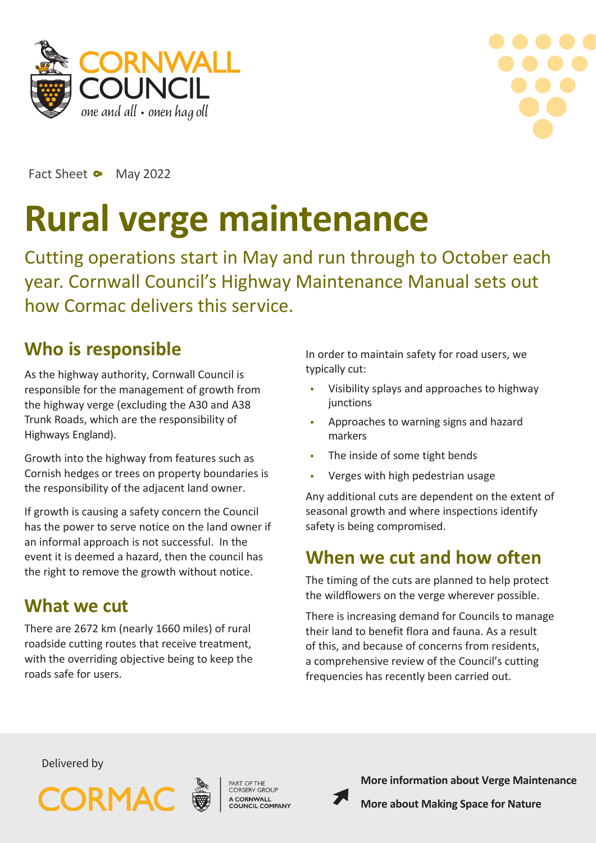



Fact Sheet • May 2022

# **Rural verge maintenance**

Cutting operations start in May and run through to October each year. Cornwall Council's Highway Maintenance Manual sets out how Cormac delivers this service.

# **Who is responsible**

As the highway authority, Cornwall Council is responsible for the management of growth from the highway verge (excluding the A30 and A38 Trunk Roads, which are the responsibility of Highways England).

Growth into the highway from features such as Cornish hedges or trees on property boundaries is the responsibility of the adjacent land owner.

If growth is causing a safety concern the Council has the power to serve notice on the land owner if an informal approach is not successful. In the event it is deemed a hazard, then the council has the right to remove the growth without notice.

## **What we cut**

There are 2672 km (nearly 1660 miles) of rural roadside cutting routes that receive treatment, with the overriding objective being to keep the roads safe for users.

In order to maintain safety for road users, we typically cut:

- Visibility splays and approaches to highway **junctions**
- Approaches to warning signs and hazard markers
- The inside of some tight bends
- Verges with high pedestrian usage

Any additional cuts are dependent on the extent of seasonal growth and where inspections identify safety is being compromised.

# **When we cut and how often**

The timing of the cuts are planned to help protect the wildflowers on the verge wherever possible.

There is increasing demand for Councils to manage their land to benefit flora and fauna. As a result of this, and because of concerns from residents, a comprehensive review of the Council's cutting frequencies has recently been carried out.

Delivered by



A CORNWALL<br>COUNCIL COMPANY



**[More information about Verge](https://www.cornwall.gov.uk/transport-parking-and-streets/roads-highways-and-pavements/report-a-problem-with-a-road-or-pavement/verge-maintenance/) Maintenance**